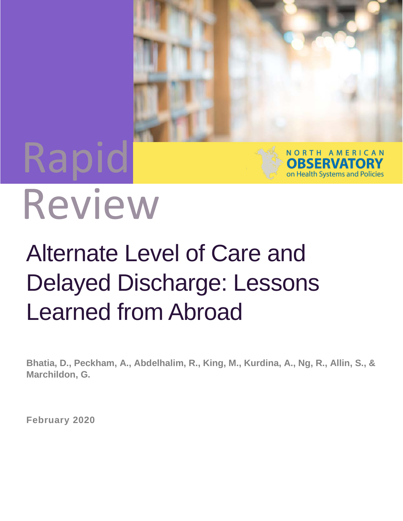# Rapid



## Review

## Alternate Level of Care and Delayed Discharge: Lessons Learned from Abroad

**Bhatia, D., Peckham, A., Abdelhalim, R., King, M., Kurdina, A., Ng, R., Allin, S., & Marchildon, G.**

**February 2020**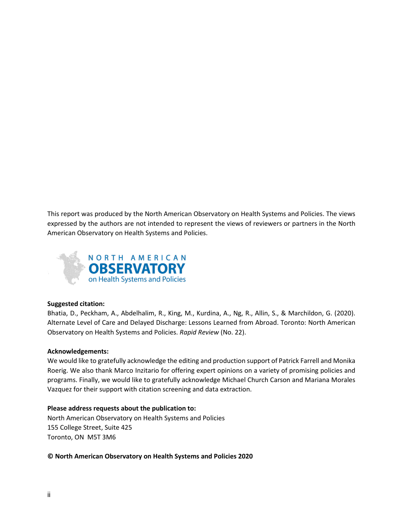This report was produced by the North American Observatory on Health Systems and Policies. The views expressed by the authors are not intended to represent the views of reviewers or partners in the North American Observatory on Health Systems and Policies.



#### **Suggested citation:**

Bhatia, D., Peckham, A., Abdelhalim, R., King, M., Kurdina, A., Ng, R., Allin, S., & Marchildon, G. (2020). Alternate Level of Care and Delayed Discharge: Lessons Learned from Abroad. Toronto: North American Observatory on Health Systems and Policies. *Rapid Review* (No. 22).

#### **Acknowledgements:**

We would like to gratefully acknowledge the editing and production support of Patrick Farrell and Monika Roerig. We also thank Marco Inzitario for offering expert opinions on a variety of promising policies and programs. Finally, we would like to gratefully acknowledge Michael Church Carson and Mariana Morales Vazquez for their support with citation screening and data extraction.

#### **Please address requests about the publication to:**

North American Observatory on Health Systems and Policies 155 College Street, Suite 425 Toronto, ON M5T 3M6

**© North American Observatory on Health Systems and Policies 2020**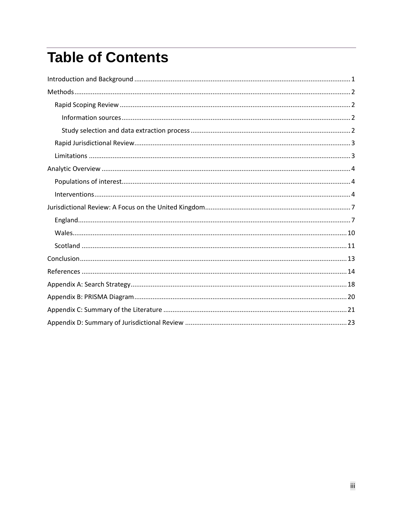## **Table of Contents**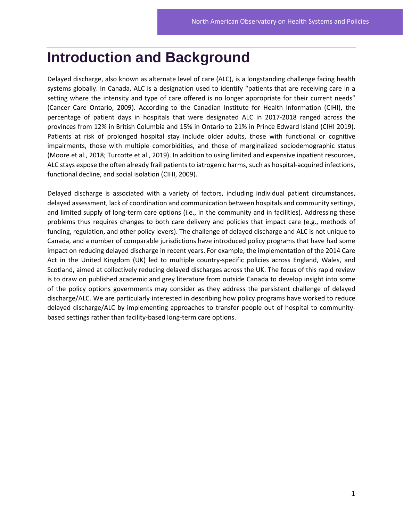### <span id="page-4-0"></span>**Introduction and Background**

Delayed discharge, also known as alternate level of care (ALC), is a longstanding challenge facing health systems globally. In Canada, ALC is a designation used to identify "patients that are receiving care in a setting where the intensity and type of care offered is no longer appropriate for their current needs" (Cancer Care Ontario, 2009). According to the Canadian Institute for Health Information (CIHI), the percentage of patient days in hospitals that were designated ALC in 2017-2018 ranged across the provinces from 12% in British Columbia and 15% in Ontario to 21% in Prince Edward Island (CIHI 2019). Patients at risk of prolonged hospital stay include older adults, those with functional or cognitive impairments, those with multiple comorbidities, and those of marginalized sociodemographic status (Moore et al., 2018; Turcotte et al., 2019). In addition to using limited and expensive inpatient resources, ALC stays expose the often already frail patients to iatrogenic harms, such as hospital-acquired infections, functional decline, and social isolation (CIHI, 2009).

Delayed discharge is associated with a variety of factors, including individual patient circumstances, delayed assessment, lack of coordination and communication between hospitals and community settings, and limited supply of long-term care options (i.e., in the community and in facilities). Addressing these problems thus requires changes to both care delivery and policies that impact care (e.g., methods of funding, regulation, and other policy levers). The challenge of delayed discharge and ALC is not unique to Canada, and a number of comparable jurisdictions have introduced policy programs that have had some impact on reducing delayed discharge in recent years. For example, the implementation of the 2014 Care Act in the United Kingdom (UK) led to multiple country-specific policies across England, Wales, and Scotland, aimed at collectively reducing delayed discharges across the UK. The focus of this rapid review is to draw on published academic and grey literature from outside Canada to develop insight into some of the policy options governments may consider as they address the persistent challenge of delayed discharge/ALC. We are particularly interested in describing how policy programs have worked to reduce delayed discharge/ALC by implementing approaches to transfer people out of hospital to communitybased settings rather than facility-based long-term care options.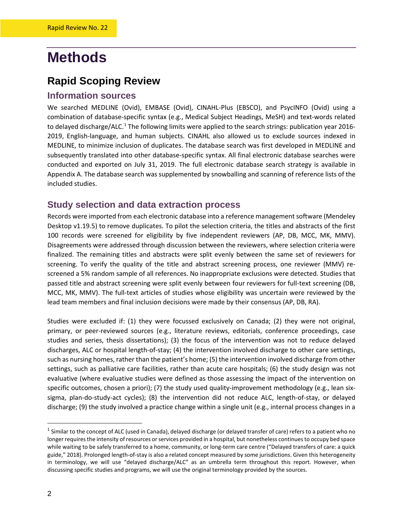## <span id="page-5-0"></span>**Methods**

#### <span id="page-5-1"></span>**Rapid Scoping Review**

#### <span id="page-5-2"></span>**Information sources**

We searched MEDLINE (Ovid), EMBASE (Ovid), CINAHL-Plus (EBSCO), and PsycINFO (Ovid) using a combination of database-specific syntax (e.g., Medical Subject Headings, MeSH) and text-words related to delayed discharge/ALC.<sup>[1](#page-5-4)</sup> The following limits were applied to the search strings: publication year 2016-2019, English-language, and human subjects. CINAHL also allowed us to exclude sources indexed in MEDLINE, to minimize inclusion of duplicates. The database search was first developed in MEDLINE and subsequently translated into other database-specific syntax. All final electronic database searches were conducted and exported on July 31, 2019. The full electronic database search strategy is available in Appendix A. The database search was supplemented by snowballing and scanning of reference lists of the included studies.

#### <span id="page-5-3"></span>**Study selection and data extraction process**

Records were imported from each electronic database into a reference management software (Mendeley Desktop v1.19.5) to remove duplicates. To pilot the selection criteria, the titles and abstracts of the first 100 records were screened for eligibility by five independent reviewers (AP, DB, MCC, MK, MMV). Disagreements were addressed through discussion between the reviewers, where selection criteria were finalized. The remaining titles and abstracts were split evenly between the same set of reviewers for screening. To verify the quality of the title and abstract screening process, one reviewer (MMV) rescreened a 5% random sample of all references. No inappropriate exclusions were detected. Studies that passed title and abstract screening were split evenly between four reviewers for full-text screening (DB, MCC, MK, MMV). The full-text articles of studies whose eligibility was uncertain were reviewed by the lead team members and final inclusion decisions were made by their consensus (AP, DB, RA).

Studies were excluded if: (1) they were focussed exclusively on Canada; (2) they were not original, primary, or peer-reviewed sources (e.g., literature reviews, editorials, conference proceedings, case studies and series, thesis dissertations); (3) the focus of the intervention was not to reduce delayed discharges, ALC or hospital length-of-stay; (4) the intervention involved discharge to other care settings, such as nursing homes, rather than the patient's home; (5) the intervention involved discharge from other settings, such as palliative care facilities, rather than acute care hospitals; (6) the study design was not evaluative (where evaluative studies were defined as those assessing the impact of the intervention on specific outcomes, chosen a priori); (7) the study used quality-improvement methodology (e.g., lean sixsigma, plan-do-study-act cycles); (8) the intervention did not reduce ALC, length-of-stay, or delayed discharge; (9) the study involved a practice change within a single unit (e.g., internal process changes in a

<span id="page-5-4"></span> $<sup>1</sup>$  Similar to the concept of ALC (used in Canada), delayed discharge (or delayed transfer of care) refers to a patient who no</sup> longer requires the intensity of resources or services provided in a hospital, but nonetheless continues to occupy bed space while waiting to be safely transferred to a home, community, or long-term care centre [\("Delayed transfers of care: a quick](https://www.kingsfund.org.uk/publications/delayed-transfers-care-quick-guide)  [guide," 2018\)](https://www.kingsfund.org.uk/publications/delayed-transfers-care-quick-guide). Prolonged length-of-stay is also a related concept measured by some jurisdictions. Given this heterogeneity in terminology, we will use "delayed discharge/ALC" as an umbrella term throughout this report. However, when discussing specific studies and programs, we will use the original terminology provided by the sources.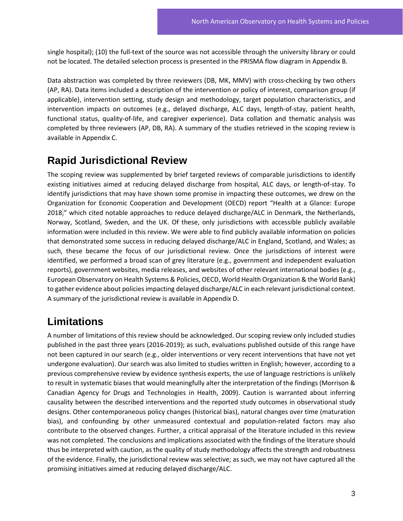single hospital); (10) the full-text of the source was not accessible through the university library or could not be located. The detailed selection process is presented in the PRISMA flow diagram in Appendix B.

Data abstraction was completed by three reviewers (DB, MK, MMV) with cross-checking by two others (AP, RA). Data items included a description of the intervention or policy of interest, comparison group (if applicable), intervention setting, study design and methodology, target population characteristics, and intervention impacts on outcomes (e.g., delayed discharge, ALC days, length-of-stay, patient health, functional status, quality-of-life, and caregiver experience). Data collation and thematic analysis was completed by three reviewers (AP, DB, RA). A summary of the studies retrieved in the scoping review is available in Appendix C.

#### <span id="page-6-0"></span>**Rapid Jurisdictional Review**

The scoping review was supplemented by brief targeted reviews of comparable jurisdictions to identify existing initiatives aimed at reducing delayed discharge from hospital, ALC days, or length-of-stay. To identify jurisdictions that may have shown some promise in impacting these outcomes, we drew on the Organization for Economic Cooperation and Development (OECD) report "Health at a Glance: Europe 2018," which cited notable approaches to reduce delayed discharge/ALC in Denmark, the Netherlands, Norway, Scotland, Sweden, and the UK. Of these, only jurisdictions with accessible publicly available information were included in this review. We were able to find publicly available information on policies that demonstrated some success in reducing delayed discharge/ALC in England, Scotland, and Wales; as such, these became the focus of our jurisdictional review. Once the jurisdictions of interest were identified, we performed a broad scan of grey literature (e.g., government and independent evaluation reports), government websites, media releases, and websites of other relevant international bodies (e.g., European Observatory on Health Systems & Policies, OECD, World Health Organization & the World Bank) to gather evidence about policies impacting delayed discharge/ALC in each relevant jurisdictional context. A summary of the jurisdictional review is available in Appendix D.

#### <span id="page-6-1"></span>**Limitations**

A number of limitations of this review should be acknowledged. Our scoping review only included studies published in the past three years (2016-2019); as such, evaluations published outside of this range have not been captured in our search (e.g., older interventions or very recent interventions that have not yet undergone evaluation). Our search was also limited to studies written in English; however, according to a previous comprehensive review by evidence synthesis experts, the use of language restrictions is unlikely to result in systematic biases that would meaningfully alter the interpretation of the findings (Morrison & Canadian Agency for Drugs and Technologies in Health, 2009). Caution is warranted about inferring causality between the described interventions and the reported study outcomes in observational study designs. Other contemporaneous policy changes (historical bias), natural changes over time (maturation bias), and confounding by other unmeasured contextual and population-related factors may also contribute to the observed changes. Further, a critical appraisal of the literature included in this review was not completed. The conclusions and implications associated with the findings of the literature should thus be interpreted with caution, as the quality of study methodology affects the strength and robustness of the evidence. Finally, the jurisdictional review was selective; as such, we may not have captured all the promising initiatives aimed at reducing delayed discharge/ALC.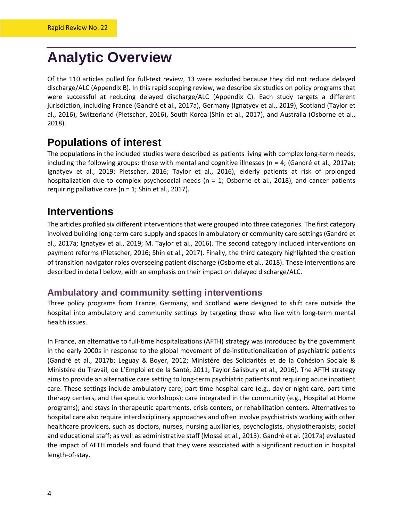## <span id="page-7-0"></span>**Analytic Overview**

Of the 110 articles pulled for full-text review, 13 were excluded because they did not reduce delayed discharge/ALC (Appendix B). In this rapid scoping review, we describe six studies on policy programs that were successful at reducing delayed discharge/ALC (Appendix C). Each study targets a different jurisdiction, including France (Gandré et al., 2017a), Germany (Ignatyev et al., 2019), Scotland (Taylor et al., 2016), Switzerland (Pletscher, 2016), South Korea (Shin et al., 2017), and Australia (Osborne et al., 2018).

#### <span id="page-7-1"></span>**Populations of interest**

The populations in the included studies were described as patients living with complex long-term needs, including the following groups: those with mental and cognitive illnesses ( $n = 4$ ; (Gandré et al., 2017a); Ignatyev et al., 2019; Pletscher, 2016; Taylor et al., 2016), elderly patients at risk of prolonged hospitalization due to complex psychosocial needs ( $n = 1$ ; Osborne et al., 2018), and cancer patients requiring palliative care ( $n = 1$ ; Shin et al., 2017).

#### <span id="page-7-2"></span>**Interventions**

The articles profiled six different interventions that were grouped into three categories. The first category involved building long-term care supply and spaces in ambulatory or community care settings (Gandré et al., 2017a; Ignatyev et al., 2019; M. Taylor et al., 2016). The second category included interventions on payment reforms (Pletscher, 2016; Shin et al., 2017). Finally, the third category highlighted the creation of transition navigator roles overseeing patient discharge (Osborne et al., 2018). These interventions are described in detail below, with an emphasis on their impact on delayed discharge/ALC.

#### **Ambulatory and community setting interventions**

Three policy programs from France, Germany, and Scotland were designed to shift care outside the hospital into ambulatory and community settings by targeting those who live with long-term mental health issues.

In France, an alternative to full-time hospitalizations (AFTH) strategy was introduced by the government in the early 2000s in response to the global movement of de-institutionalization of psychiatric patients (Gandré et al., 2017b; Leguay & Boyer, 2012; Ministére des Solidarités et de la Cohésion Sociale & Ministére du Travail, de L'Emploi et de la Santé, 2011; Taylor Salisbury et al., 2016). The AFTH strategy aims to provide an alternative care setting to long-term psychiatric patients not requiring acute inpatient care. These settings include ambulatory care; part-time hospital care (e.g., day or night care, part-time therapy centers, and therapeutic workshops); care integrated in the community (e.g., Hospital at Home programs); and stays in therapeutic apartments, crisis centers, or rehabilitation centers. Alternatives to hospital care also require interdisciplinary approaches and often involve psychiatrists working with other healthcare providers, such as doctors, nurses, nursing auxiliaries, psychologists, physiotherapists; social and educational staff; as well as administrative staff (Mossé et al., 2013). Gandré et al. (2017a) evaluated the impact of AFTH models and found that they were associated with a significant reduction in hospital length-of-stay.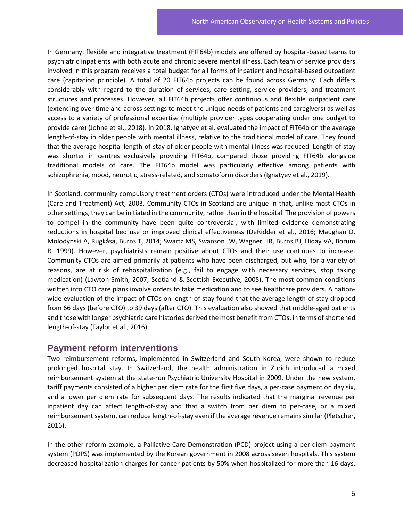In Germany, flexible and integrative treatment (FIT64b) models are offered by hospital-based teams to psychiatric inpatients with both acute and chronic severe mental illness. Each team of service providers involved in this program receives a total budget for all forms of inpatient and hospital-based outpatient care (capitation principle). A total of 20 FIT64b projects can be found across Germany. Each differs considerably with regard to the duration of services, care setting, service providers, and treatment structures and processes. However, all FIT64b projects offer continuous and flexible outpatient care (extending over time and across settings to meet the unique needs of patients and caregivers) as well as access to a variety of professional expertise (multiple provider types cooperating under one budget to provide care) (Johne et al., 2018). In 2018, Ignatyev et al. evaluated the impact of FIT64b on the average length-of-stay in older people with mental illness, relative to the traditional model of care. They found that the average hospital length-of-stay of older people with mental illness was reduced. Length-of-stay was shorter in centres exclusively providing FIT64b, compared those providing FIT64b alongside traditional models of care. The FIT64b model was particularly effective among patients with schizophrenia, mood, neurotic, stress-related, and somatoform disorders (Ignatyev et al., 2019).

In Scotland, community compulsory treatment orders (CTOs) were introduced under the Mental Health (Care and Treatment) Act, 2003. Community CTOs in Scotland are unique in that, unlike most CTOs in other settings, they can be initiated in the community, rather than in the hospital. The provision of powers to compel in the community have been quite controversial, with limited evidence demonstrating reductions in hospital bed use or improved clinical effectiveness (DeRidder et al., 2016; Maughan D, Molodynski A, Rugkåsa, Burns T, 2014; Swartz MS, Swanson JW, Wagner HR, Burns BJ, Hiday VA, Borum R, 1999). However, psychiatrists remain positive about CTOs and their use continues to increase. Community CTOs are aimed primarily at patients who have been discharged, but who, for a variety of reasons, are at risk of rehospitalization (e.g., fail to engage with necessary services, stop taking medication) (Lawton-Smith, 2007; Scotland & Scottish Executive, 2005). The most common conditions written into CTO care plans involve orders to take medication and to see healthcare providers. A nationwide evaluation of the impact of CTOs on length-of-stay found that the average length-of-stay dropped from 66 days (before CTO) to 39 days (after CTO). This evaluation also showed that middle-aged patients and those with longer psychiatric care histories derived the most benefit from CTOs, in terms of shortened length-of-stay (Taylor et al., 2016).

#### **Payment reform interventions**

Two reimbursement reforms, implemented in Switzerland and South Korea, were shown to reduce prolonged hospital stay. In Switzerland, the health administration in Zurich introduced a mixed reimbursement system at the state-run Psychiatric University Hospital in 2009. Under the new system, tariff payments consisted of a higher per diem rate for the first five days, a per-case payment on day six, and a lower per diem rate for subsequent days. The results indicated that the marginal revenue per inpatient day can affect length-of-stay and that a switch from per diem to per-case, or a mixed reimbursement system, can reduce length-of-stay even if the average revenue remains similar (Pletscher, 2016).

In the other reform example, a Palliative Care Demonstration (PCD) project using a per diem payment system (PDPS) was implemented by the Korean government in 2008 across seven hospitals. This system decreased hospitalization charges for cancer patients by 50% when hospitalized for more than 16 days.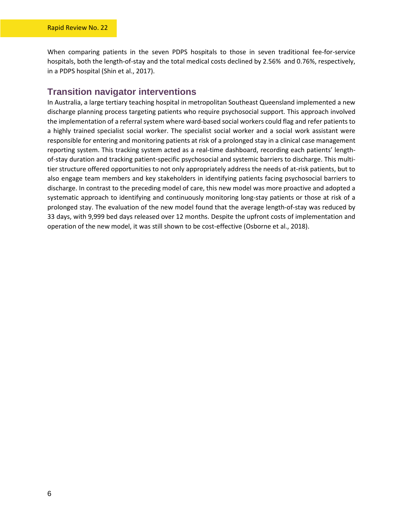When comparing patients in the seven PDPS hospitals to those in seven traditional fee-for-service hospitals, both the length-of-stay and the total medical costs declined by 2.56% and 0.76%, respectively, in a PDPS hospital (Shin et al., 2017).

#### **Transition navigator interventions**

In Australia, a large tertiary teaching hospital in metropolitan Southeast Queensland implemented a new discharge planning process targeting patients who require psychosocial support. This approach involved the implementation of a referral system where ward-based social workers could flag and refer patients to a highly trained specialist social worker. The specialist social worker and a social work assistant were responsible for entering and monitoring patients at risk of a prolonged stay in a clinical case management reporting system. This tracking system acted as a real-time dashboard, recording each patients' lengthof-stay duration and tracking patient-specific psychosocial and systemic barriers to discharge. This multitier structure offered opportunities to not only appropriately address the needs of at-risk patients, but to also engage team members and key stakeholders in identifying patients facing psychosocial barriers to discharge. In contrast to the preceding model of care, this new model was more proactive and adopted a systematic approach to identifying and continuously monitoring long-stay patients or those at risk of a prolonged stay. The evaluation of the new model found that the average length-of-stay was reduced by 33 days, with 9,999 bed days released over 12 months. Despite the upfront costs of implementation and operation of the new model, it was still shown to be cost-effective (Osborne et al., 2018).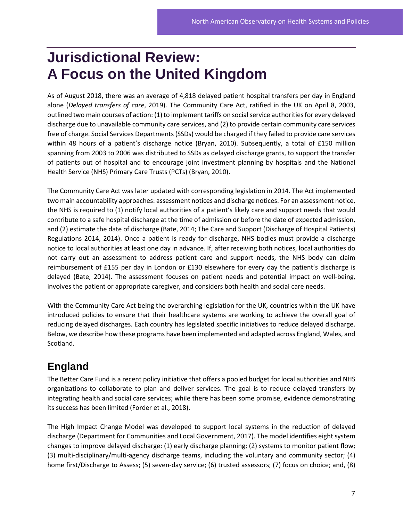## <span id="page-10-0"></span>**Jurisdictional Review: A Focus on the United Kingdom**

As of August 2018, there was an average of 4,818 delayed patient hospital transfers per day in England alone (*Delayed transfers of care*, 2019). The Community Care Act, ratified in the UK on April 8, 2003, outlined two main courses of action: (1) to implement tariffs on social service authorities for every delayed discharge due to unavailable community care services, and (2) to provide certain community care services free of charge. Social Services Departments (SSDs) would be charged if they failed to provide care services within 48 hours of a patient's discharge notice (Bryan, 2010). Subsequently, a total of £150 million spanning from 2003 to 2006 was distributed to SSDs as delayed discharge grants, to support the transfer of patients out of hospital and to encourage joint investment planning by hospitals and the National Health Service (NHS) Primary Care Trusts (PCTs) (Bryan, 2010).

The Community Care Act was later updated with corresponding legislation in 2014. The Act implemented two main accountability approaches: assessment notices and discharge notices. For an assessment notice, the NHS is required to (1) notify local authorities of a patient's likely care and support needs that would contribute to a safe hospital discharge at the time of admission or before the date of expected admission, and (2) estimate the date of discharge (Bate, 2014; The Care and Support (Discharge of Hospital Patients) Regulations 2014, 2014). Once a patient is ready for discharge, NHS bodies must provide a discharge notice to local authorities at least one day in advance. If, after receiving both notices, local authorities do not carry out an assessment to address patient care and support needs, the NHS body can claim reimbursement of £155 per day in London or £130 elsewhere for every day the patient's discharge is delayed (Bate, 2014). The assessment focuses on patient needs and potential impact on well-being, involves the patient or appropriate caregiver, and considers both health and social care needs.

With the Community Care Act being the overarching legislation for the UK, countries within the UK have introduced policies to ensure that their healthcare systems are working to achieve the overall goal of reducing delayed discharges. Each country has legislated specific initiatives to reduce delayed discharge. Below, we describe how these programs have been implemented and adapted across England, Wales, and Scotland.

#### <span id="page-10-1"></span>**England**

The Better Care Fund is a recent policy initiative that offers a pooled budget for local authorities and NHS organizations to collaborate to plan and deliver services. The goal is to reduce delayed transfers by integrating health and social care services; while there has been some promise, evidence demonstrating its success has been limited (Forder et al., 2018).

The High Impact Change Model was developed to support local systems in the reduction of delayed discharge (Department for Communities and Local Government, 2017). The model identifies eight system changes to improve delayed discharge: (1) early discharge planning; (2) systems to monitor patient flow; (3) multi-disciplinary/multi-agency discharge teams, including the voluntary and community sector; (4) home first/Discharge to Assess; (5) seven-day service; (6) trusted assessors; (7) focus on choice; and, (8)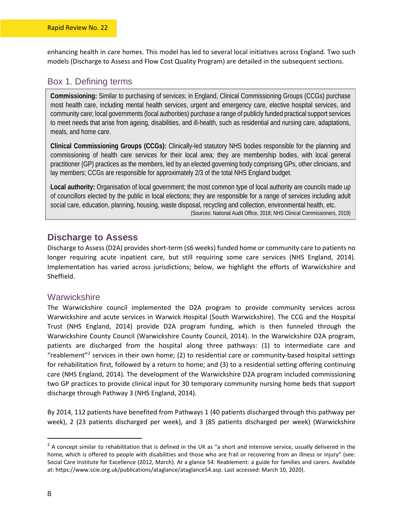enhancing health in care homes. This model has led to several local initiatives across England. Two such models (Discharge to Assess and Flow Cost Quality Program) are detailed in the subsequent sections.

#### Box 1. Defining terms

**Commissioning:** Similar to purchasing of services; in England, Clinical Commissioning Groups (CCGs) purchase most health care, including mental health services, urgent and emergency care, elective hospital services, and community care; local governments (local authorities) purchase a range of publicly funded practical support services to meet needs that arise from ageing, disabilities, and ill-health, such as residential and nursing care, adaptations, meals, and home care.

**Clinical Commissioning Groups (CCGs):** Clinically-led statutory NHS bodies responsible for the planning and commissioning of health care services for their local area; they are membership bodies, with local general practitioner (GP) practices as the members, led by an elected governing body comprising GPs, other clinicians, and lay members; CCGs are responsible for approximately 2/3 of the total NHS England budget.

**Local authority:** Organisation of local government; the most common type of local authority are councils made up of councillors elected by the public in local elections; they are responsible for a range of services including adult social care, education, planning, housing, waste disposal, recycling and collection, environmental health, etc. (Sources: National Audit Office, 2018; NHS Clinical Commissioners, 2019)

#### **Discharge to Assess**

Discharge to Assess (D2A) provides short-term (≤6 weeks) funded home or community care to patients no longer requiring acute inpatient care, but still requiring some care services (NHS England, 2014). Implementation has varied across jurisdictions; below, we highlight the efforts of Warwickshire and Sheffield.

#### **Warwickshire**

The Warwickshire council implemented the D2A program to provide community services across Warwickshire and acute services in Warwick Hospital (South Warwickshire). The CCG and the Hospital Trust (NHS England, 2014) provide D2A program funding, which is then funneled through the Warwickshire County Council (Warwickshire County Council, 2014). In the Warwickshire D2A program, patients are discharged from the hospital along three pathways: (1) to intermediate care and "reablement"<sup>[2](#page-11-0)</sup> services in their own home; (2) to residential care or community-based hospital settings for rehabilitation first, followed by a return to home; and (3) to a residential setting offering continuing care (NHS England, 2014). The development of the Warwickshire D2A program included commissioning two GP practices to provide clinical input for 30 temporary community nursing home beds that support discharge through Pathway 3 (NHS England, 2014).

By 2014, 112 patients have benefited from Pathways 1 (40 patients discharged through this pathway per week), 2 (23 patients discharged per week), and 3 (85 patients discharged per week) (Warwickshire

<span id="page-11-0"></span> $2$  A concept similar to rehabilitation that is defined in the UK as "a short and intensive service, usually delivered in the home, which is offered to people with disabilities and those who are frail or recovering from an illness or injury" (see: Social Care Institute for Excellence (2012, March). At a glance 54: Reablement: a guide for families and carers. Available at: https://www.scie.org.uk/publications/ataglance/ataglance54.asp. Last accessed: March 10, 2020).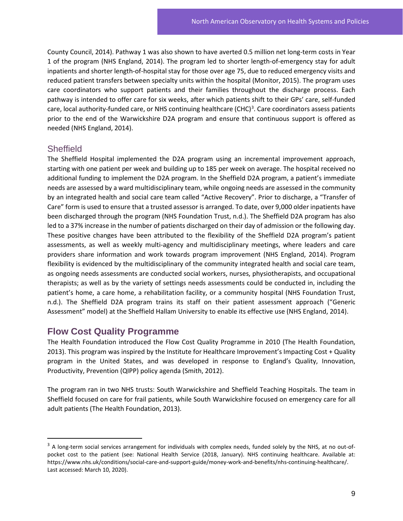County Council, 2014). Pathway 1 was also shown to have averted 0.5 million net long-term costs in Year 1 of the program (NHS England, 2014). The program led to shorter length-of-emergency stay for adult inpatients and shorter length-of-hospital stay for those over age 75, due to reduced emergency visits and reduced patient transfers between specialty units within the hospital (Monitor, 2015). The program uses care coordinators who support patients and their families throughout the discharge process. Each pathway is intended to offer care for six weeks, after which patients shift to their GPs' care, self-funded care, local authority-funded care, or NHS continuing healthcare (CHC)<sup>[3](#page-12-0)</sup>. Care coordinators assess patients prior to the end of the Warwickshire D2A program and ensure that continuous support is offered as needed (NHS England, 2014).

#### **Sheffield**

The Sheffield Hospital implemented the D2A program using an incremental improvement approach, starting with one patient per week and building up to 185 per week on average. The hospital received no additional funding to implement the D2A program. In the Sheffield D2A program, a patient's immediate needs are assessed by a ward multidisciplinary team, while ongoing needs are assessed in the community by an integrated health and social care team called "Active Recovery". Prior to discharge, a "Transfer of Care" form is used to ensure that a trusted assessor is arranged. To date, over 9,000 older inpatients have been discharged through the program (NHS Foundation Trust, n.d.). The Sheffield D2A program has also led to a 37% increase in the number of patients discharged on their day of admission or the following day. These positive changes have been attributed to the flexibility of the Sheffield D2A program's patient assessments, as well as weekly multi-agency and multidisciplinary meetings, where leaders and care providers share information and work towards program improvement (NHS England, 2014). Program flexibility is evidenced by the multidisciplinary of the community integrated health and social care team, as ongoing needs assessments are conducted social workers, nurses, physiotherapists, and occupational therapists; as well as by the variety of settings needs assessments could be conducted in, including the patient's home, a care home, a rehabilitation facility, or a community hospital (NHS Foundation Trust, n.d.). The Sheffield D2A program trains its staff on their patient assessment approach ("Generic Assessment" model) at the Sheffield Hallam University to enable its effective use (NHS England, 2014).

#### **Flow Cost Quality Programme**

The Health Foundation introduced the Flow Cost Quality Programme in 2010 (The Health Foundation, 2013). This program was inspired by the Institute for Healthcare Improvement's Impacting Cost + Quality program in the United States, and was developed in response to England's Quality, Innovation, Productivity, Prevention (QIPP) policy agenda (Smith, 2012).

The program ran in two NHS trusts: South Warwickshire and Sheffield Teaching Hospitals. The team in Sheffield focused on care for frail patients, while South Warwickshire focused on emergency care for all adult patients (The Health Foundation, 2013).

<span id="page-12-0"></span> $3$  A long-term social services arrangement for individuals with complex needs, funded solely by the NHS, at no out-ofpocket cost to the patient (see: National Health Service (2018, January). NHS continuing healthcare. Available at: https://www.nhs.uk/conditions/social-care-and-support-guide/money-work-and-benefits/nhs-continuing-healthcare/. Last accessed: March 10, 2020).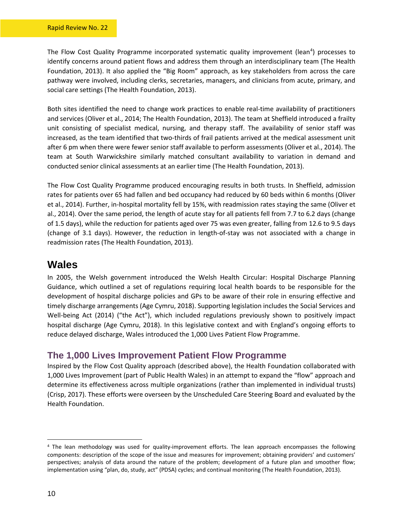The Flow Cost Quality Programme incorporated systematic quality improvement (lean<sup>[4](#page-13-1)</sup>) processes to identify concerns around patient flows and address them through an interdisciplinary team (The Health Foundation, 2013). It also applied the "Big Room" approach, as key stakeholders from across the care pathway were involved, including clerks, secretaries, managers, and clinicians from acute, primary, and social care settings (The Health Foundation, 2013).

Both sites identified the need to change work practices to enable real-time availability of practitioners and services (Oliver et al., 2014; The Health Foundation, 2013). The team at Sheffield introduced a frailty unit consisting of specialist medical, nursing, and therapy staff. The availability of senior staff was increased, as the team identified that two-thirds of frail patients arrived at the medical assessment unit after 6 pm when there were fewer senior staff available to perform assessments (Oliver et al., 2014). The team at South Warwickshire similarly matched consultant availability to variation in demand and conducted senior clinical assessments at an earlier time (The Health Foundation, 2013).

The Flow Cost Quality Programme produced encouraging results in both trusts. In Sheffield, admission rates for patients over 65 had fallen and bed occupancy had reduced by 60 beds within 6 months (Oliver et al., 2014). Further, in-hospital mortality fell by 15%, with readmission rates staying the same (Oliver et al., 2014). Over the same period, the length of acute stay for all patients fell from 7.7 to 6.2 days (change of 1.5 days), while the reduction for patients aged over 75 was even greater, falling from 12.6 to 9.5 days (change of 3.1 days). However, the reduction in length-of-stay was not associated with a change in readmission rates (The Health Foundation, 2013).

#### <span id="page-13-0"></span>**Wales**

In 2005, the Welsh government introduced the Welsh Health Circular: Hospital Discharge Planning Guidance, which outlined a set of regulations requiring local health boards to be responsible for the development of hospital discharge policies and GPs to be aware of their role in ensuring effective and timely discharge arrangements (Age Cymru, 2018). Supporting legislation includes the Social Services and Well-being Act (2014) ("the Act"), which included regulations previously shown to positively impact hospital discharge (Age Cymru, 2018). In this legislative context and with England's ongoing efforts to reduce delayed discharge, Wales introduced the 1,000 Lives Patient Flow Programme.

#### **The 1,000 Lives Improvement Patient Flow Programme**

Inspired by the Flow Cost Quality approach (described above), the Health Foundation collaborated with 1,000 Lives Improvement (part of Public Health Wales) in an attempt to expand the "flow" approach and determine its effectiveness across multiple organizations (rather than implemented in individual trusts) (Crisp, 2017). These efforts were overseen by the Unscheduled Care Steering Board and evaluated by the Health Foundation.

<span id="page-13-1"></span><sup>&</sup>lt;sup>4</sup> The lean methodology was used for quality-improvement efforts. The lean approach encompasses the following components: description of the scope of the issue and measures for improvement; obtaining providers' and customers' perspectives; analysis of data around the nature of the problem; development of a future plan and smoother flow; implementation using "plan, do, study, act" (PDSA) cycles; and continual monitoring (The Health Foundation, 2013).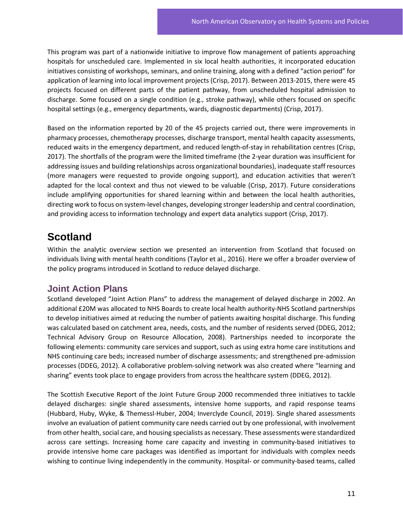This program was part of a nationwide initiative to improve flow management of patients approaching hospitals for unscheduled care. Implemented in six local health authorities, it incorporated education initiatives consisting of workshops, seminars, and online training, along with a defined "action period" for application of learning into local improvement projects (Crisp, 2017). Between 2013-2015, there were 45 projects focused on different parts of the patient pathway, from unscheduled hospital admission to discharge. Some focused on a single condition (e.g., stroke pathway), while others focused on specific hospital settings (e.g., emergency departments, wards, diagnostic departments) (Crisp, 2017).

Based on the information reported by 20 of the 45 projects carried out, there were improvements in pharmacy processes, chemotherapy processes, discharge transport, mental health capacity assessments, reduced waits in the emergency department, and reduced length-of-stay in rehabilitation centres (Crisp, 2017). The shortfalls of the program were the limited timeframe (the 2-year duration was insufficient for addressing issues and building relationships across organizational boundaries), inadequate staff resources (more managers were requested to provide ongoing support), and education activities that weren't adapted for the local context and thus not viewed to be valuable (Crisp, 2017). Future considerations include amplifying opportunities for shared learning within and between the local health authorities, directing work to focus on system-level changes, developing stronger leadership and central coordination, and providing access to information technology and expert data analytics support (Crisp, 2017).

#### <span id="page-14-0"></span>**Scotland**

Within the analytic overview section we presented an intervention from Scotland that focused on individuals living with mental health conditions (Taylor et al., 2016). Here we offer a broader overview of the policy programs introduced in Scotland to reduce delayed discharge.

#### **Joint Action Plans**

Scotland developed "Joint Action Plans" to address the management of delayed discharge in 2002. An additional £20M was allocated to NHS Boards to create local health authority-NHS Scotland partnerships to develop initiatives aimed at reducing the number of patients awaiting hospital discharge. This funding was calculated based on catchment area, needs, costs, and the number of residents served (DDEG, 2012; Technical Advisory Group on Resource Allocation, 2008). Partnerships needed to incorporate the following elements: community care services and support, such as using extra home care institutions and NHS continuing care beds; increased number of discharge assessments; and strengthened pre-admission processes (DDEG, 2012). A collaborative problem-solving network was also created where "learning and sharing" events took place to engage providers from across the healthcare system (DDEG, 2012).

The Scottish Executive Report of the Joint Future Group 2000 recommended three initiatives to tackle delayed discharges: single shared assessments, intensive home supports, and rapid response teams (Hubbard, Huby, Wyke, & Themessl-Huber, 2004; Inverclyde Council, 2019). Single shared assessments involve an evaluation of patient community care needs carried out by one professional, with involvement from other health, social care, and housing specialists as necessary. These assessments were standardized across care settings. Increasing home care capacity and investing in community-based initiatives to provide intensive home care packages was identified as important for individuals with complex needs wishing to continue living independently in the community. Hospital- or community-based teams, called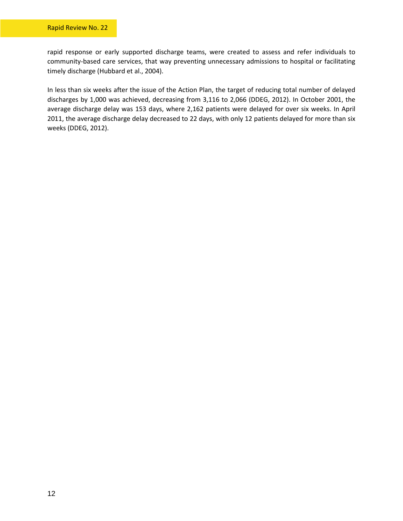rapid response or early supported discharge teams, were created to assess and refer individuals to community-based care services, that way preventing unnecessary admissions to hospital or facilitating timely discharge (Hubbard et al., 2004).

In less than six weeks after the issue of the Action Plan, the target of reducing total number of delayed discharges by 1,000 was achieved, decreasing from 3,116 to 2,066 (DDEG, 2012). In October 2001, the average discharge delay was 153 days, where 2,162 patients were delayed for over six weeks. In April 2011, the average discharge delay decreased to 22 days, with only 12 patients delayed for more than six weeks (DDEG, 2012).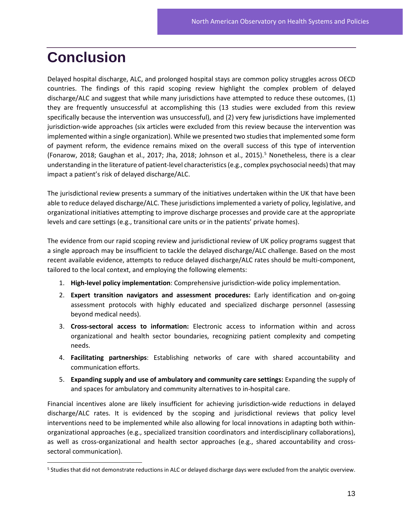## <span id="page-16-0"></span>**Conclusion**

Delayed hospital discharge, ALC, and prolonged hospital stays are common policy struggles across OECD countries. The findings of this rapid scoping review highlight the complex problem of delayed discharge/ALC and suggest that while many jurisdictions have attempted to reduce these outcomes, (1) they are frequently unsuccessful at accomplishing this (13 studies were excluded from this review specifically because the intervention was unsuccessful), and (2) very few jurisdictions have implemented jurisdiction-wide approaches (six articles were excluded from this review because the intervention was implemented within a single organization). While we presented two studies that implemented some form of payment reform, the evidence remains mixed on the overall success of this type of intervention (Fonarow, 2018; Gaughan et al., 2017; Jha, 2018; Johnson et al., 2015). [5](#page-16-1) Nonetheless, there is a clear understanding in the literature of patient-level characteristics (e.g., complex psychosocial needs) that may impact a patient's risk of delayed discharge/ALC.

The jurisdictional review presents a summary of the initiatives undertaken within the UK that have been able to reduce delayed discharge/ALC. These jurisdictions implemented a variety of policy, legislative, and organizational initiatives attempting to improve discharge processes and provide care at the appropriate levels and care settings (e.g., transitional care units or in the patients' private homes).

The evidence from our rapid scoping review and jurisdictional review of UK policy programs suggest that a single approach may be insufficient to tackle the delayed discharge/ALC challenge. Based on the most recent available evidence, attempts to reduce delayed discharge/ALC rates should be multi-component, tailored to the local context, and employing the following elements:

- 1. **High-level policy implementation**: Comprehensive jurisdiction-wide policy implementation.
- 2. **Expert transition navigators and assessment procedures:** Early identification and on-going assessment protocols with highly educated and specialized discharge personnel (assessing beyond medical needs).
- 3. **Cross-sectoral access to information:** Electronic access to information within and across organizational and health sector boundaries, recognizing patient complexity and competing needs.
- 4. **Facilitating partnerships**: Establishing networks of care with shared accountability and communication efforts.
- 5. **Expanding supply and use of ambulatory and community care settings:** Expanding the supply of and spaces for ambulatory and community alternatives to in-hospital care.

Financial incentives alone are likely insufficient for achieving jurisdiction-wide reductions in delayed discharge/ALC rates. It is evidenced by the scoping and jurisdictional reviews that policy level interventions need to be implemented while also allowing for local innovations in adapting both withinorganizational approaches (e.g., specialized transition coordinators and interdisciplinary collaborations), as well as cross-organizational and health sector approaches (e.g., shared accountability and crosssectoral communication).

<span id="page-16-1"></span><sup>5</sup> Studies that did not demonstrate reductions in ALC or delayed discharge days were excluded from the analytic overview.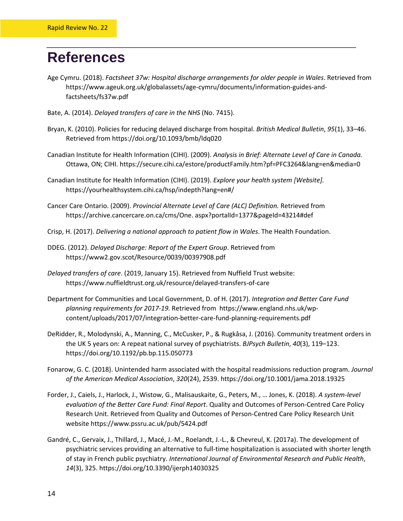## <span id="page-17-0"></span>**References**

- Age Cymru. (2018). *Factsheet 37w: Hospital discharge arrangements for older people in Wales*. Retrieved from https://www.ageuk.org.uk/globalassets/age-cymru/documents/information-guides-andfactsheets/fs37w.pdf
- Bate, A. (2014). *Delayed transfers of care in the NHS* (No. 7415).
- Bryan, K. (2010). Policies for reducing delayed discharge from hospital. *British Medical Bulletin*, *95*(1), 33–46. Retrieved from https://doi.org/10.1093/bmb/ldq020
- Canadian Institute for Health Information (CIHI). (2009). *Analysis in Brief: Alternate Level of Care in Canada.* Ottawa, ON; CIHI. https://secure.cihi.ca/estore/productFamily.htm?pf=PFC3264&lang=en&media=0
- Canadian Institute for Health Information (CIHI). (2019). *Explore your health system [Website].* https://yourhealthsystem.cihi.ca/hsp/indepth?lang=en#/
- Cancer Care Ontario. (2009). *Provincial Alternate Level of Care (ALC) Definition.* Retrieved from https://archive.cancercare.on.ca/cms/One. aspx?portalId=1377&pageId=43214#def
- Crisp, H. (2017). *Delivering a national approach to patient flow in Wales*. The Health Foundation.
- DDEG. (2012). *Delayed Discharge: Report of the Expert Group*. Retrieved from https://www2.gov.scot/Resource/0039/00397908.pdf
- *Delayed transfers of care*. (2019, January 15). Retrieved from Nuffield Trust website: https://www.nuffieldtrust.org.uk/resource/delayed-transfers-of-care
- Department for Communities and Local Government, D. of H. (2017). *Integration and Better Care Fund planning requirements for 2017-19.* Retrieved from https://www.england.nhs.uk/wpcontent/uploads/2017/07/integration-better-care-fund-planning-requirements.pdf
- DeRidder, R., Molodynski, A., Manning, C., McCusker, P., & Rugkåsa, J. (2016). Community treatment orders in the UK 5 years on: A repeat national survey of psychiatrists. *BJPsych Bulletin*, *40*(3), 119–123. https://doi.org/10.1192/pb.bp.115.050773
- Fonarow, G. C. (2018). Unintended harm associated with the hospital readmissions reduction program. *Journal of the American Medical Association*, *320*(24), 2539. https://doi.org/10.1001/jama.2018.19325
- Forder, J., Caiels, J., Harlock, J., Wistow, G., Malisauskaite, G., Peters, M., … Jones, K. (2018). *A system-level evaluation of the Better Care Fund: Final Report*. Quality and Outcomes of Person-Centred Care Policy Research Unit. Retrieved from Quality and Outcomes of Person-Centred Care Policy Research Unit website https://www.pssru.ac.uk/pub/5424.pdf
- Gandré, C., Gervaix, J., Thillard, J., Macé, J.-M., Roelandt, J.-L., & Chevreul, K. (2017a). The development of psychiatric services providing an alternative to full-time hospitalization is associated with shorter length of stay in French public psychiatry. *International Journal of Environmental Research and Public Health*, *14*(3), 325. https://doi.org/10.3390/ijerph14030325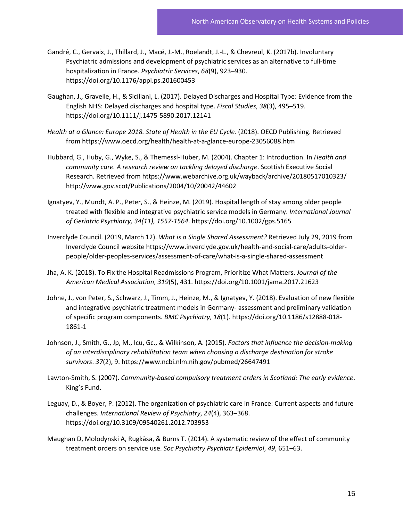- Gandré, C., Gervaix, J., Thillard, J., Macé, J.-M., Roelandt, J.-L., & Chevreul, K. (2017b). Involuntary Psychiatric admissions and development of psychiatric services as an alternative to full-time hospitalization in France. *Psychiatric Services*, *68*(9), 923–930. https://doi.org/10.1176/appi.ps.201600453
- Gaughan, J., Gravelle, H., & Siciliani, L. (2017). Delayed Discharges and Hospital Type: Evidence from the English NHS: Delayed discharges and hospital type. *Fiscal Studies*, *38*(3), 495–519. https://doi.org/10.1111/j.1475-5890.2017.12141
- *Health at a Glance: Europe 2018. State of Health in the EU Cycle.* (2018). OECD Publishing. Retrieved from https://www.oecd.org/health/health-at-a-glance-europe-23056088.htm
- Hubbard, G., Huby, G., Wyke, S., & Themessl-Huber, M. (2004). Chapter 1: Introduction. In *Health and community care. A research review on tackling delayed discharge*. Scottish Executive Social Research. Retrieved from https://www.webarchive.org.uk/wayback/archive/20180517010323/ http://www.gov.scot/Publications/2004/10/20042/44602
- Ignatyev, Y., Mundt, A. P., Peter, S., & Heinze, M. (2019). Hospital length of stay among older people treated with flexible and integrative psychiatric service models in Germany. *International Journal of Geriatric Psychiatry, 34(11), 1557-1564*. https://doi.org/10.1002/gps.5165
- Inverclyde Council. (2019, March 12). *What is a Single Shared Assessment?* Retrieved July 29, 2019 from Inverclyde Council website https://www.inverclyde.gov.uk/health-and-social-care/adults-olderpeople/older-peoples-services/assessment-of-care/what-is-a-single-shared-assessment
- Jha, A. K. (2018). To Fix the Hospital Readmissions Program, Prioritize What Matters. *Journal of the American Medical Association*, *319*(5), 431. https://doi.org/10.1001/jama.2017.21623
- Johne, J., von Peter, S., Schwarz, J., Timm, J., Heinze, M., & Ignatyev, Y. (2018). Evaluation of new flexible and integrative psychiatric treatment models in Germany- assessment and preliminary validation of specific program components. *BMC Psychiatry*, *18*(1). https://doi.org/10.1186/s12888-018- 1861-1
- Johnson, J., Smith, G., Jp, M., Icu, Gc., & Wilkinson, A. (2015). *Factors that influence the decision-making of an interdisciplinary rehabilitation team when choosing a discharge destination for stroke survivors*. *37*(2), 9. https://www.ncbi.nlm.nih.gov/pubmed/26647491
- Lawton-Smith, S. (2007). *Community-based compulsory treatment orders in Scotland: The early evidence*. King's Fund.
- Leguay, D., & Boyer, P. (2012). The organization of psychiatric care in France: Current aspects and future challenges. *International Review of Psychiatry*, *24*(4), 363–368. https://doi.org/10.3109/09540261.2012.703953
- Maughan D, Molodynski A, Rugkåsa, & Burns T. (2014). A systematic review of the effect of community treatment orders on service use. *Soc Psychiatry Psychiatr Epidemiol*, *49*, 651–63.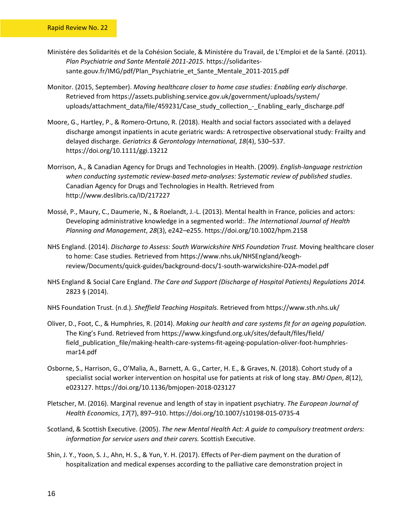- Ministére des Solidarités et de la Cohésion Sociale, & Ministére du Travail, de L'Emploi et de la Santé. (2011). *Plan Psychiatrie and Sante Mentalé 2011-2015.* https://solidaritessante.gouv.fr/IMG/pdf/Plan\_Psychiatrie\_et\_Sante\_Mentale\_2011-2015.pdf
- Monitor. (2015, September). *Moving healthcare closer to home case studies: Enabling early discharge*. Retrieved from https://assets.publishing.service.gov.uk/government/uploads/system/ uploads/attachment\_data/file/459231/Case\_study\_collection\_-\_Enabling\_early\_discharge.pdf
- Moore, G., Hartley, P., & Romero-Ortuno, R. (2018). Health and social factors associated with a delayed discharge amongst inpatients in acute geriatric wards: A retrospective observational study: Frailty and delayed discharge. *Geriatrics & Gerontology International*, *18*(4), 530–537. https://doi.org/10.1111/ggi.13212
- Morrison, A., & Canadian Agency for Drugs and Technologies in Health. (2009). *English-language restriction when conducting systematic review-based meta-analyses: Systematic review of published studies*. Canadian Agency for Drugs and Technologies in Health. Retrieved from http://www.deslibris.ca/ID/217227
- Mossé, P., Maury, C., Daumerie, N., & Roelandt, J.-L. (2013). Mental health in France, policies and actors: Developing administrative knowledge in a segmented world:. *The International Journal of Health Planning and Management*, *28*(3), e242–e255. https://doi.org/10.1002/hpm.2158
- NHS England. (2014). *Discharge to Assess: South Warwickshire NHS Foundation Trust.* Moving healthcare closer to home: Case studies. Retrieved from https://www.nhs.uk/NHSEngland/keoghreview/Documents/quick-guides/background-docs/1-south-warwickshire-D2A-model.pdf
- NHS England & Social Care England. *The Care and Support (Discharge of Hospital Patients) Regulations 2014.* 2823 § (2014).
- NHS Foundation Trust. (n.d.). *Sheffield Teaching Hospitals*. Retrieved from https://www.sth.nhs.uk/
- Oliver, D., Foot, C., & Humphries, R. (2014). *Making our health and care systems fit for an ageing population*. The King's Fund. Retrieved from https://www.kingsfund.org.uk/sites/default/files/field/ field\_publication\_file/making-health-care-systems-fit-ageing-population-oliver-foot-humphriesmar14.pdf
- Osborne, S., Harrison, G., O'Malia, A., Barnett, A. G., Carter, H. E., & Graves, N. (2018). Cohort study of a specialist social worker intervention on hospital use for patients at risk of long stay. *BMJ Open*, *8*(12), e023127. https://doi.org/10.1136/bmjopen-2018-023127
- Pletscher, M. (2016). Marginal revenue and length of stay in inpatient psychiatry. *The European Journal of Health Economics*, *17*(7), 897–910. https://doi.org/10.1007/s10198-015-0735-4
- Scotland, & Scottish Executive. (2005). *The new Mental Health Act: A guide to compulsory treatment orders: information for service users and their carers.* Scottish Executive.
- Shin, J. Y., Yoon, S. J., Ahn, H. S., & Yun, Y. H. (2017). Effects of Per-diem payment on the duration of hospitalization and medical expenses according to the palliative care demonstration project in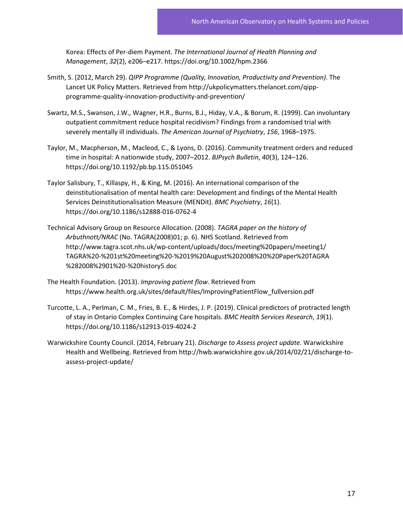Korea: Effects of Per-diem Payment. *The International Journal of Health Planning and Management*, *32*(2), e206–e217. https://doi.org/10.1002/hpm.2366

- Smith, S. (2012, March 29). *QIPP Programme (Quality, Innovation, Productivity and Prevention)*. The Lancet UK Policy Matters. Retrieved from http://ukpolicymatters.thelancet.com/qippprogramme-quality-innovation-productivity-and-prevention/
- Swartz, M.S., Swanson, J.W., Wagner, H.R., Burns, B.J., Hiday, V.A., & Borum, R. (1999). Can involuntary outpatient commitment reduce hospital recidivism? Findings from a randomised trial with severely mentally ill individuals. *The American Journal of Psychiatry*, *156*, 1968–1975.
- Taylor, M., Macpherson, M., Macleod, C., & Lyons, D. (2016). Community treatment orders and reduced time in hospital: A nationwide study, 2007–2012. *BJPsych Bulletin*, *40*(3), 124–126. https://doi.org/10.1192/pb.bp.115.051045
- Taylor Salisbury, T., Killaspy, H., & King, M. (2016). An international comparison of the deinstitutionalisation of mental health care: Development and findings of the Mental Health Services Deinstitutionalisation Measure (MENDit). *BMC Psychiatry*, *16*(1). https://doi.org/10.1186/s12888-016-0762-4
- Technical Advisory Group on Resource Allocation. (2008). *TAGRA paper on the history of Arbuthnott/NRAC* (No. TAGRA(2008)01; p. 6). NHS Scotland. Retrieved from http://www.tagra.scot.nhs.uk/wp-content/uploads/docs/meeting%20papers/meeting1/ TAGRA%20-%201st%20meeting%20-%2019%20August%202008%20%20Paper%20TAGRA %282008%2901%20-%20history5.doc
- The Health Foundation. (2013). *Improving patient flow*. Retrieved from https://www.health.org.uk/sites/default/files/ImprovingPatientFlow\_fullversion.pdf
- Turcotte, L. A., Perlman, C. M., Fries, B. E., & Hirdes, J. P. (2019). Clinical predictors of protracted length of stay in Ontario Complex Continuing Care hospitals. *BMC Health Services Research*, *19*(1). https://doi.org/10.1186/s12913-019-4024-2
- Warwickshire County Council. (2014, February 21). *Discharge to Assess project update.* Warwickshire Health and Wellbeing. Retrieved from http://hwb.warwickshire.gov.uk/2014/02/21/discharge-toassess-project-update/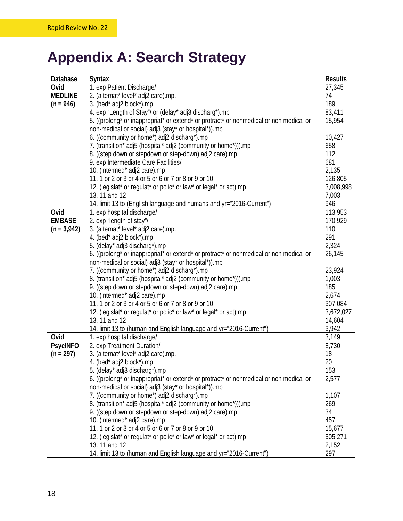## <span id="page-21-0"></span>**Appendix A: Search Strategy**

| Database        | <b>Syntax</b>                                                                          | <b>Results</b>       |  |  |  |  |  |
|-----------------|----------------------------------------------------------------------------------------|----------------------|--|--|--|--|--|
| Ovid            | 1. exp Patient Discharge/                                                              | 27,345               |  |  |  |  |  |
| <b>MEDLINE</b>  | 2. (alternat* level* adj2 care).mp.                                                    | 74                   |  |  |  |  |  |
| $(n = 946)$     | 3. (bed* adj2 block*).mp                                                               | 189                  |  |  |  |  |  |
|                 | 4. exp "Length of Stay"/ or (delay* adj3 discharg*).mp                                 | 83,411               |  |  |  |  |  |
|                 | 5. ((prolong* or inappropriat* or extend* or protract* or nonmedical or non medical or | 15,954               |  |  |  |  |  |
|                 | non-medical or social) adj3 (stay* or hospital*)).mp                                   |                      |  |  |  |  |  |
|                 | 6. ((community or home*) adj2 discharg*).mp                                            | 10,427               |  |  |  |  |  |
|                 | 7. (transition* adj5 (hospital* adj2 (community or home*))).mp                         | 658                  |  |  |  |  |  |
|                 | 8. ((step down or stepdown or step-down) adj2 care).mp                                 | 112                  |  |  |  |  |  |
|                 | 9. exp Intermediate Care Facilities/                                                   | 681                  |  |  |  |  |  |
|                 | 10. (intermed* adj2 care).mp                                                           | 2,135                |  |  |  |  |  |
|                 | 11. 1 or 2 or 3 or 4 or 5 or 6 or 7 or 8 or 9 or 10                                    |                      |  |  |  |  |  |
|                 | 12. (legislat* or regulat* or polic* or law* or legal* or act).mp                      | 126,805<br>3,008,998 |  |  |  |  |  |
|                 | 13.11 and 12                                                                           |                      |  |  |  |  |  |
|                 | 14. limit 13 to (English language and humans and yr="2016-Current")                    | 7,003<br>946         |  |  |  |  |  |
| Ovid            | 1. exp hospital discharge/                                                             | 113,953              |  |  |  |  |  |
| <b>EMBASE</b>   | 2. exp "length of stay"/                                                               | 170,929              |  |  |  |  |  |
| $(n = 3,942)$   | 3. (alternat* level* adj2 care).mp.                                                    | 110                  |  |  |  |  |  |
|                 | 4. (bed* adj2 block*).mp                                                               | 291                  |  |  |  |  |  |
|                 | 5. (delay* adj3 discharg*).mp                                                          | 2,324                |  |  |  |  |  |
|                 | 6. ((prolong* or inappropriat* or extend* or protract* or nonmedical or non medical or | 26,145               |  |  |  |  |  |
|                 | non-medical or social) adj3 (stay* or hospital*)).mp                                   |                      |  |  |  |  |  |
|                 | 7. ((community or home*) adj2 discharg*).mp                                            | 23,924               |  |  |  |  |  |
|                 | 8. (transition* adj5 (hospital* adj2 (community or home*))).mp                         | 1,003                |  |  |  |  |  |
|                 | 9. ((step down or stepdown or step-down) adj2 care).mp                                 | 185                  |  |  |  |  |  |
|                 | 10. (intermed* adj2 care).mp                                                           | 2,674                |  |  |  |  |  |
|                 | 11. 1 or 2 or 3 or 4 or 5 or 6 or 7 or 8 or 9 or 10                                    | 307,084              |  |  |  |  |  |
|                 | 12. (legislat* or regulat* or polic* or law* or legal* or act).mp                      | 3,672,027            |  |  |  |  |  |
|                 | 13.11 and 12                                                                           | 14,604               |  |  |  |  |  |
|                 | 14. limit 13 to (human and English language and yr="2016-Current")                     | 3,942                |  |  |  |  |  |
| Ovid            | 1. exp hospital discharge/                                                             | 3,149                |  |  |  |  |  |
| <b>PsycINFO</b> | 2. exp Treatment Duration/                                                             | 8,730                |  |  |  |  |  |
| $(n = 297)$     | 3. (alternat* level* adj2 care).mp.                                                    | 18                   |  |  |  |  |  |
|                 | 4. (bed* adj2 block*).mp                                                               | 20                   |  |  |  |  |  |
|                 | 5. (delay* adj3 discharg*).mp                                                          | 153                  |  |  |  |  |  |
|                 | 6. ((prolong* or inappropriat* or extend* or protract* or nonmedical or non medical or | 2,577                |  |  |  |  |  |
|                 | non-medical or social) adj3 (stay* or hospital*)).mp                                   |                      |  |  |  |  |  |
|                 | 7. ((community or home*) adj2 discharg*).mp                                            | 1,107                |  |  |  |  |  |
|                 | 8. (transition* adj5 (hospital* adj2 (community or home*))).mp                         | 269                  |  |  |  |  |  |
|                 | 9. ((step down or stepdown or step-down) adj2 care).mp                                 | 34                   |  |  |  |  |  |
|                 | 10. (intermed* adj2 care).mp                                                           | 457                  |  |  |  |  |  |
|                 | 11. 1 or 2 or 3 or 4 or 5 or 6 or 7 or 8 or 9 or 10                                    | 15,677               |  |  |  |  |  |
|                 | 12. (legislat* or regulat* or polic* or law* or legal* or act).mp                      | 505,271              |  |  |  |  |  |
|                 | 13.11 and 12                                                                           | 2,152                |  |  |  |  |  |
|                 | 14. limit 13 to (human and English language and yr="2016-Current")                     | 297                  |  |  |  |  |  |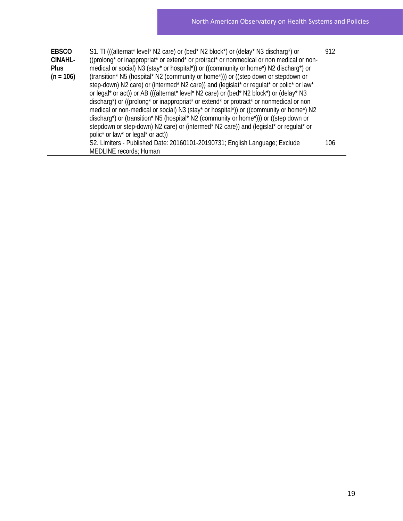| <b>EBSCO</b><br><b>CINAHL-</b><br><b>Plus</b><br>$(n = 106)$ | S1. TI (((alternat* level* N2 care) or (bed* N2 block*) or (delay* N3 discharg*) or<br>((prolong* or inappropriat* or extend* or protract* or nonmedical or non medical or non-<br>medical or social) N3 (stay* or hospital*)) or ((community or home*) N2 discharg*) or<br>(transition* N5 (hospital* N2 (community or home*))) or ((step down or stepdown or<br>step-down) N2 care) or (intermed* N2 care)) and (legislat* or regulat* or polic* or law*<br>or legal* or act)) or AB (((alternat* level* N2 care) or (bed* N2 block*) or (delay* N3<br>discharg*) or ((prolong* or inappropriat* or extend* or protract* or nonmedical or non<br>medical or non-medical or social) N3 (stay* or hospital*)) or ((community or home*) N2<br>discharg*) or (transition* N5 (hospital* N2 (community or home*))) or ((step down or<br>stepdown or step-down) N2 care) or (intermed* N2 care)) and (legislat* or regulat* or<br>polic* or law* or legal* or act)) | 912 |
|--------------------------------------------------------------|-----------------------------------------------------------------------------------------------------------------------------------------------------------------------------------------------------------------------------------------------------------------------------------------------------------------------------------------------------------------------------------------------------------------------------------------------------------------------------------------------------------------------------------------------------------------------------------------------------------------------------------------------------------------------------------------------------------------------------------------------------------------------------------------------------------------------------------------------------------------------------------------------------------------------------------------------------------------|-----|
|                                                              | S2. Limiters - Published Date: 20160101-20190731; English Language; Exclude<br><b>MEDLINE</b> records; Human                                                                                                                                                                                                                                                                                                                                                                                                                                                                                                                                                                                                                                                                                                                                                                                                                                                    | 106 |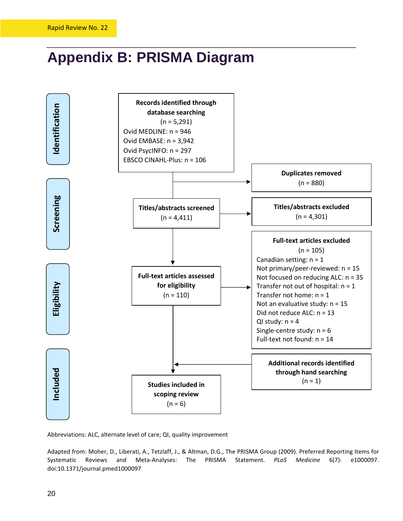## <span id="page-23-0"></span>**Appendix B: PRISMA Diagram**



Abbreviations: ALC, alternate level of care; QI, quality improvement

Adapted from: Moher, D., Liberati, A., Tetzlaff, J., & Altman, D.G., The PRISMA Group (2009). Preferred Reporting Items for Systematic Reviews and Meta-Analyses: The PRISMA Statement. *PLoS Medicine* 6(7): e1000097.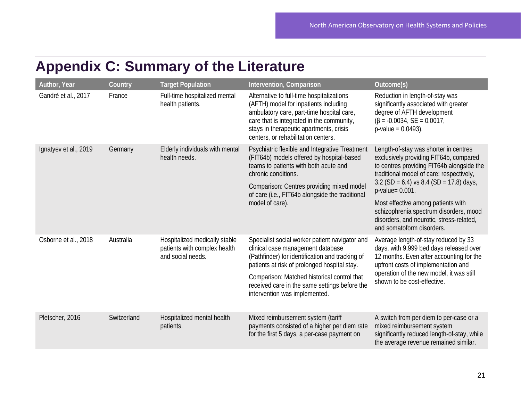## **Appendix C: Summary of the Literature**

<span id="page-24-0"></span>

| Author, Year          | Country     | <b>Target Population</b>                                                           | Intervention, Comparison                                                                                                                                                                                                                                                                                                | Outcome(s)                                                                                                                                                                                                                                                                                                                                                                                            |
|-----------------------|-------------|------------------------------------------------------------------------------------|-------------------------------------------------------------------------------------------------------------------------------------------------------------------------------------------------------------------------------------------------------------------------------------------------------------------------|-------------------------------------------------------------------------------------------------------------------------------------------------------------------------------------------------------------------------------------------------------------------------------------------------------------------------------------------------------------------------------------------------------|
| Gandré et al., 2017   | France      | Full-time hospitalized mental<br>health patients.                                  | Alternative to full-time hospitalizations<br>(AFTH) model for inpatients including<br>ambulatory care, part-time hospital care,<br>care that is integrated in the community,<br>stays in therapeutic apartments, crisis<br>centers, or rehabilitation centers.                                                          | Reduction in length-of-stay was<br>significantly associated with greater<br>degree of AFTH development<br>$(\beta = -0.0034, SE = 0.0017,$<br>$p-value = 0.0493$ .                                                                                                                                                                                                                                    |
| Ignatyev et al., 2019 | Germany     | Elderly individuals with mental<br>health needs.                                   | Psychiatric flexible and Integrative Treatment<br>(FIT64b) models offered by hospital-based<br>teams to patients with both acute and<br>chronic conditions.<br>Comparison: Centres providing mixed model<br>of care (i.e., FIT64b alongside the traditional<br>model of care).                                          | Length-of-stay was shorter in centres<br>exclusively providing FIT64b, compared<br>to centres providing FIT64b alongside the<br>traditional model of care: respectively,<br>3.2 (SD = 6.4) vs 8.4 (SD = 17.8) days,<br>$p$ -value= $0.001$ .<br>Most effective among patients with<br>schizophrenia spectrum disorders, mood<br>disorders, and neurotic, stress-related,<br>and somatoform disorders. |
| Osborne et al., 2018  | Australia   | Hospitalized medically stable<br>patients with complex health<br>and social needs. | Specialist social worker patient navigator and<br>clinical case management database<br>(Pathfinder) for identification and tracking of<br>patients at risk of prolonged hospital stay.<br>Comparison: Matched historical control that<br>received care in the same settings before the<br>intervention was implemented. | Average length-of-stay reduced by 33<br>days, with 9,999 bed days released over<br>12 months. Even after accounting for the<br>upfront costs of implementation and<br>operation of the new model, it was still<br>shown to be cost-effective.                                                                                                                                                         |
| Pletscher, 2016       | Switzerland | Hospitalized mental health<br>patients.                                            | Mixed reimbursement system (tariff<br>payments consisted of a higher per diem rate<br>for the first 5 days, a per-case payment on                                                                                                                                                                                       | A switch from per diem to per-case or a<br>mixed reimbursement system<br>significantly reduced length-of-stay, while<br>the average revenue remained similar.                                                                                                                                                                                                                                         |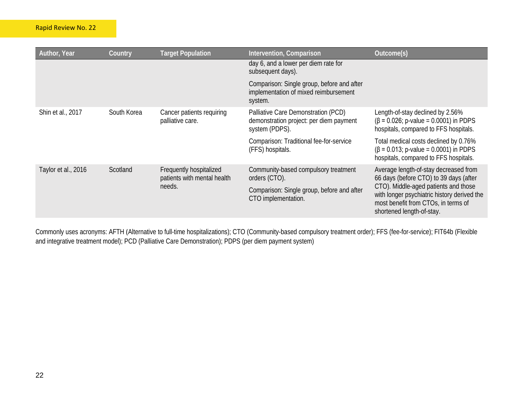| Author, Year        | Country     | <b>Target Population</b>                               | Intervention, Comparison                                                                         | Outcome(s)                                                                                                                                              |
|---------------------|-------------|--------------------------------------------------------|--------------------------------------------------------------------------------------------------|---------------------------------------------------------------------------------------------------------------------------------------------------------|
|                     |             |                                                        | day 6, and a lower per diem rate for<br>subsequent days).                                        |                                                                                                                                                         |
|                     |             |                                                        | Comparison: Single group, before and after<br>implementation of mixed reimbursement<br>system.   |                                                                                                                                                         |
| Shin et al., 2017   | South Korea | Cancer patients requiring<br>palliative care.          | Palliative Care Demonstration (PCD)<br>demonstration project: per diem payment<br>system (PDPS). | Length-of-stay declined by 2.56%<br>$(\beta = 0.026; p-value = 0.0001)$ in PDPS<br>hospitals, compared to FFS hospitals.                                |
|                     |             |                                                        | Comparison: Traditional fee-for-service<br>(FFS) hospitals.                                      | Total medical costs declined by 0.76%<br>$(\beta = 0.013; p-value = 0.0001)$ in PDPS<br>hospitals, compared to FFS hospitals.                           |
| Taylor et al., 2016 | Scotland    | Frequently hospitalized<br>patients with mental health | Community-based compulsory treatment<br>orders (CTO).                                            | Average length-of-stay decreased from<br>66 days (before CTO) to 39 days (after                                                                         |
|                     |             | needs.                                                 | Comparison: Single group, before and after<br>CTO implementation.                                | CTO). Middle-aged patients and those<br>with longer psychiatric history derived the<br>most benefit from CTOs, in terms of<br>shortened length-of-stay. |

Commonly uses acronyms: AFTH (Alternative to full-time hospitalizations); CTO (Community-based compulsory treatment order); FFS (fee-for-service); FIT64b (Flexible and integrative treatment model); PCD (Palliative Care Demonstration); PDPS (per diem payment system)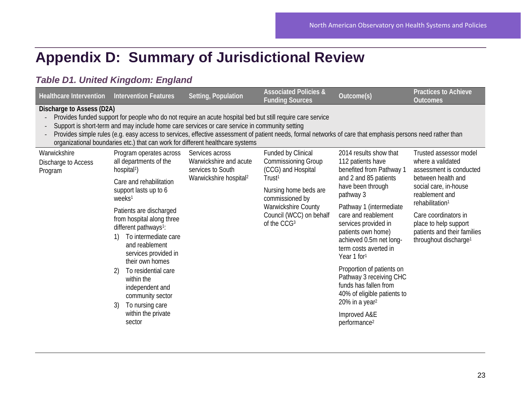## **Appendix D: Summary of Jurisdictional Review**

#### *Table D1. United Kingdom: England*

<span id="page-26-0"></span>

| <b>Healthcare Intervention</b>                                                                                                                                                                                                                                                                                                                                                                                                                                                           | <b>Intervention Features</b>                                                                                                                                                         | Setting, Population                                                                                  | <b>Associated Policies &amp;</b><br><b>Funding Sources</b>                                                                                  | Outcome(s)                                                                                                                                                                                                                                                                                                        | Practices to Achieve<br><b>Outcomes</b>                                                                           |  |  |  |
|------------------------------------------------------------------------------------------------------------------------------------------------------------------------------------------------------------------------------------------------------------------------------------------------------------------------------------------------------------------------------------------------------------------------------------------------------------------------------------------|--------------------------------------------------------------------------------------------------------------------------------------------------------------------------------------|------------------------------------------------------------------------------------------------------|---------------------------------------------------------------------------------------------------------------------------------------------|-------------------------------------------------------------------------------------------------------------------------------------------------------------------------------------------------------------------------------------------------------------------------------------------------------------------|-------------------------------------------------------------------------------------------------------------------|--|--|--|
| Discharge to Assess (D2A)<br>Provides funded support for people who do not require an acute hospital bed but still require care service<br>Support is short-term and may include home care services or care service in community setting<br>Provides simple rules (e.g. easy access to services, effective assessment of patient needs, formal networks of care that emphasis persons need rather than<br>organizational boundaries etc.) that can work for different healthcare systems |                                                                                                                                                                                      |                                                                                                      |                                                                                                                                             |                                                                                                                                                                                                                                                                                                                   |                                                                                                                   |  |  |  |
| Warwickshire<br>Discharge to Access<br>Program                                                                                                                                                                                                                                                                                                                                                                                                                                           | Program operates across<br>all departments of the<br>hospital <sup>1</sup> )                                                                                                         | Services across<br>Warwickshire and acute<br>services to South<br>Warwickshire hospital <sup>2</sup> | Funded by Clinical<br>Commissioning Group<br>(CCG) and Hospital                                                                             | 2014 results show that<br>112 patients have<br>benefited from Pathway 1<br>and 2 and 85 patients<br>have been through<br>pathway 3<br>Pathway 1 (intermediate<br>care and reablement<br>services provided in<br>patients own home)<br>achieved 0.5m net long-<br>term costs averted in<br>Year 1 for <sup>1</sup> | Trusted assessor model<br>where a validated<br>assessment is conducted                                            |  |  |  |
| 2)<br>3)                                                                                                                                                                                                                                                                                                                                                                                                                                                                                 | Care and rehabilitation<br>support lasts up to 6<br>weeks <sup>1</sup>                                                                                                               |                                                                                                      | Trust <sup>1</sup><br>Nursing home beds are<br>commissioned by<br>Warwickshire County<br>Council (WCC) on behalf<br>of the CCG <sub>3</sub> |                                                                                                                                                                                                                                                                                                                   | between health and<br>social care, in-house<br>reablement and<br>rehabilitation <sup>1</sup>                      |  |  |  |
|                                                                                                                                                                                                                                                                                                                                                                                                                                                                                          | Patients are discharged<br>from hospital along three<br>different pathways <sup>1</sup> :<br>To intermediate care<br>1)<br>and reablement<br>services provided in<br>their own homes |                                                                                                      |                                                                                                                                             |                                                                                                                                                                                                                                                                                                                   | Care coordinators in<br>place to help support<br>patients and their families<br>throughout discharge <sup>1</sup> |  |  |  |
|                                                                                                                                                                                                                                                                                                                                                                                                                                                                                          | To residential care<br>within the<br>independent and<br>community sector<br>To nursing care                                                                                          |                                                                                                      |                                                                                                                                             | Proportion of patients on<br>Pathway 3 receiving CHC<br>funds has fallen from<br>40% of eligible patients to<br>20% in a year <sup>2</sup>                                                                                                                                                                        |                                                                                                                   |  |  |  |
|                                                                                                                                                                                                                                                                                                                                                                                                                                                                                          | within the private<br>sector                                                                                                                                                         |                                                                                                      |                                                                                                                                             | Improved A&E<br>performance <sup>2</sup>                                                                                                                                                                                                                                                                          |                                                                                                                   |  |  |  |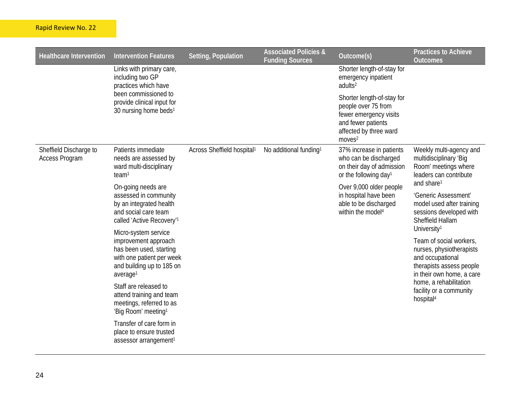#### Rapid Review No. 22

| <b>Healthcare Intervention</b>                  | <b>Intervention Features</b>                                                                                                                              | Setting, Population                    | <b>Associated Policies &amp;</b><br><b>Funding Sources</b> | Outcome(s)                                                                                                                                        | <b>Practices to Achieve</b><br><b>Outcomes</b>                                                                                                        |
|-------------------------------------------------|-----------------------------------------------------------------------------------------------------------------------------------------------------------|----------------------------------------|------------------------------------------------------------|---------------------------------------------------------------------------------------------------------------------------------------------------|-------------------------------------------------------------------------------------------------------------------------------------------------------|
|                                                 | Links with primary care,<br>including two GP<br>practices which have                                                                                      |                                        |                                                            | Shorter length-of-stay for<br>emergency inpatient<br>adults <sup>2</sup>                                                                          |                                                                                                                                                       |
|                                                 | been commissioned to<br>provide clinical input for<br>30 nursing home beds <sup>1</sup>                                                                   |                                        |                                                            | Shorter length-of-stay for<br>people over 75 from<br>fewer emergency visits<br>and fewer patients<br>affected by three ward<br>moves <sup>2</sup> |                                                                                                                                                       |
| Sheffield Discharge to<br><b>Access Program</b> | Patients immediate<br>needs are assessed by<br>ward multi-disciplinary<br>team <sup>1</sup>                                                               | Across Sheffield hospital <sup>1</sup> | No additional funding <sup>1</sup>                         | 37% increase in patients<br>who can be discharged<br>on their day of admission<br>or the following day <sup>1</sup>                               | Weekly multi-agency and<br>multidisciplinary 'Big<br>Room' meetings where<br>leaders can contribute                                                   |
|                                                 | On-going needs are<br>assessed in community<br>by an integrated health<br>and social care team<br>called 'Active Recovery' <sup>1</sup>                   |                                        |                                                            | Over 9,000 older people<br>in hospital have been<br>able to be discharged<br>within the model <sup>4</sup>                                        | and share <sup>1</sup><br>'Generic Assessment'<br>model used after training<br>sessions developed with<br>Sheffield Hallam<br>University <sup>1</sup> |
|                                                 | Micro-system service<br>improvement approach<br>has been used, starting<br>with one patient per week<br>and building up to 185 on<br>average <sup>1</sup> |                                        |                                                            |                                                                                                                                                   | Team of social workers,<br>nurses, physiotherapists<br>and occupational<br>therapists assess people<br>in their own home, a care                      |
|                                                 | Staff are released to<br>attend training and team<br>meetings, referred to as<br>'Big Room' meeting <sup>1</sup>                                          |                                        |                                                            |                                                                                                                                                   | home, a rehabilitation<br>facility or a community<br>hospital <sup>4</sup>                                                                            |
|                                                 | Transfer of care form in<br>place to ensure trusted<br>assessor arrangement <sup>1</sup>                                                                  |                                        |                                                            |                                                                                                                                                   |                                                                                                                                                       |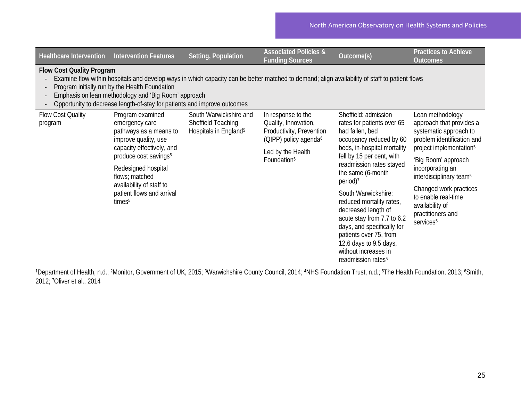| <b>Healthcare Intervention</b>                                                                                                                                                                                                                                                                                                                                           | <b>Intervention Features</b>                                                                                                                                                                                                                                                   | Setting, Population                                                               | <b>Associated Policies &amp;</b><br><b>Funding Sources</b>                                                                                                  | Outcome(s)                                                                                                                                                                                                                                                                                                                                                                                                                                                                                | <b>Practices to Achieve</b><br>Outcomes                                                                                                                                                                                                                                                                                                         |  |  |
|--------------------------------------------------------------------------------------------------------------------------------------------------------------------------------------------------------------------------------------------------------------------------------------------------------------------------------------------------------------------------|--------------------------------------------------------------------------------------------------------------------------------------------------------------------------------------------------------------------------------------------------------------------------------|-----------------------------------------------------------------------------------|-------------------------------------------------------------------------------------------------------------------------------------------------------------|-------------------------------------------------------------------------------------------------------------------------------------------------------------------------------------------------------------------------------------------------------------------------------------------------------------------------------------------------------------------------------------------------------------------------------------------------------------------------------------------|-------------------------------------------------------------------------------------------------------------------------------------------------------------------------------------------------------------------------------------------------------------------------------------------------------------------------------------------------|--|--|
| <b>Flow Cost Quality Program</b><br>Examine flow within hospitals and develop ways in which capacity can be better matched to demand; align availability of staff to patient flows<br>Program initially run by the Health Foundation<br>Emphasis on lean methodology and 'Big Room' approach<br>Opportunity to decrease length-of-stay for patients and improve outcomes |                                                                                                                                                                                                                                                                                |                                                                                   |                                                                                                                                                             |                                                                                                                                                                                                                                                                                                                                                                                                                                                                                           |                                                                                                                                                                                                                                                                                                                                                 |  |  |
| Flow Cost Quality<br>program                                                                                                                                                                                                                                                                                                                                             | Program examined<br>emergency care<br>pathways as a means to<br>improve quality, use<br>capacity effectively, and<br>produce cost savings <sup>5</sup><br>Redesigned hospital<br>flows; matched<br>availability of staff to<br>patient flows and arrival<br>times <sup>5</sup> | South Warwickshire and<br>Sheffield Teaching<br>Hospitals in England <sup>5</sup> | In response to the<br>Quality, Innovation,<br>Productivity, Prevention<br>(QIPP) policy agenda <sup>6</sup><br>Led by the Health<br>Foundation <sup>5</sup> | Sheffield: admission<br>rates for patients over 65<br>had fallen, bed<br>occupancy reduced by 60<br>beds, in-hospital mortality<br>fell by 15 per cent, with<br>readmission rates stayed<br>the same (6-month<br>period) <sup>7</sup><br>South Warwickshire:<br>reduced mortality rates,<br>decreased length of<br>acute stay from 7.7 to 6.2<br>days, and specifically for<br>patients over 75, from<br>12.6 days to 9.5 days,<br>without increases in<br>readmission rates <sup>5</sup> | Lean methodology<br>approach that provides a<br>systematic approach to<br>problem identification and<br>project implementation <sup>5</sup><br>'Big Room' approach<br>incorporating an<br>interdisciplinary team <sup>5</sup><br>Changed work practices<br>to enable real-time<br>availability of<br>practitioners and<br>services <sup>5</sup> |  |  |

1Department of Health, n.d.; 2Monitor, Government of UK, 2015; <sup>3</sup>Warwichshire County Council, 2014; <sup>4</sup>NHS Foundation Trust, n.d.; <sup>5</sup>The Health Foundation, 2013; <sup>6</sup>Smith, 2012; 7Oliver et al., 2014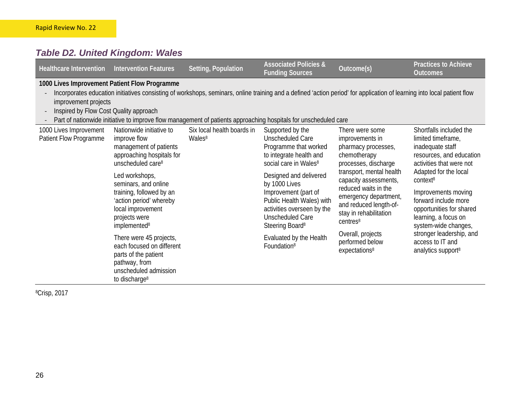#### *Table D2. United Kingdom: Wales*

| <b>Healthcare Intervention</b>                                 | <b>Intervention Features</b>                                                                                                                                                                                                                                                                                                                | Setting, Population                              | <b>Associated Policies &amp;</b><br><b>Funding Sources</b>                                                                                                                    | Outcome(s)                                                                                                                                                                                                                                                                                                                                               | <b>Practices to Achieve</b><br><b>Outcomes</b>                                                                                                                                                                                                                                                                                                                                          |
|----------------------------------------------------------------|---------------------------------------------------------------------------------------------------------------------------------------------------------------------------------------------------------------------------------------------------------------------------------------------------------------------------------------------|--------------------------------------------------|-------------------------------------------------------------------------------------------------------------------------------------------------------------------------------|----------------------------------------------------------------------------------------------------------------------------------------------------------------------------------------------------------------------------------------------------------------------------------------------------------------------------------------------------------|-----------------------------------------------------------------------------------------------------------------------------------------------------------------------------------------------------------------------------------------------------------------------------------------------------------------------------------------------------------------------------------------|
| improvement projects<br>Inspired by Flow Cost Quality approach | 1000 Lives Improvement Patient Flow Programme<br>Incorporates education initiatives consisting of workshops, seminars, online training and a defined 'action period' for application of learning into local patient flow<br>Part of nationwide initiative to improve flow management of patients approaching hospitals for unscheduled care |                                                  |                                                                                                                                                                               |                                                                                                                                                                                                                                                                                                                                                          |                                                                                                                                                                                                                                                                                                                                                                                         |
| 1000 Lives Improvement<br>Patient Flow Programme               | Nationwide initiative to<br>improve flow<br>management of patients<br>approaching hospitals for<br>unscheduled care <sup>8</sup>                                                                                                                                                                                                            | Six local health boards in<br>Wales <sup>8</sup> | Supported by the<br>Unscheduled Care<br>Programme that worked<br>to integrate health and<br>social care in Wales <sup>8</sup>                                                 | There were some<br>improvements in<br>pharmacy processes,<br>chemotherapy<br>processes, discharge<br>transport, mental health<br>capacity assessments,<br>reduced waits in the<br>emergency department,<br>and reduced length-of-<br>stay in rehabilitation<br>centres <sup>8</sup><br>Overall, projects<br>performed below<br>expectations <sup>8</sup> | Shortfalls included the<br>limited timeframe,<br>inadequate staff<br>resources, and education<br>activities that were not<br>Adapted for the local<br>context <sup>8</sup><br>Improvements moving<br>forward include more<br>opportunities for shared<br>learning, a focus on<br>system-wide changes,<br>stronger leadership, and<br>access to IT and<br>analytics support <sup>8</sup> |
|                                                                | Led workshops,<br>seminars, and online<br>training, followed by an<br>'action period' whereby<br>local improvement<br>projects were<br>implemented <sup>8</sup>                                                                                                                                                                             |                                                  | Designed and delivered<br>by 1000 Lives<br>Improvement (part of<br>Public Health Wales) with<br>activities overseen by the<br>Unscheduled Care<br>Steering Board <sup>8</sup> |                                                                                                                                                                                                                                                                                                                                                          |                                                                                                                                                                                                                                                                                                                                                                                         |
|                                                                | There were 45 projects,<br>each focused on different<br>parts of the patient<br>pathway, from<br>unscheduled admission<br>to discharge <sup>8</sup>                                                                                                                                                                                         |                                                  | Evaluated by the Health<br>Foundation <sup>8</sup>                                                                                                                            |                                                                                                                                                                                                                                                                                                                                                          |                                                                                                                                                                                                                                                                                                                                                                                         |

8Crisp, 2017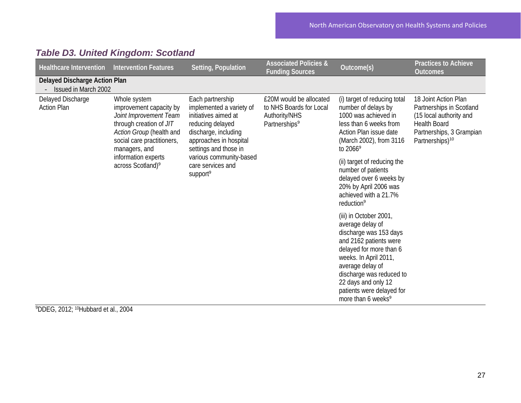| <b>Healthcare Intervention</b>                        | <b>Intervention Features</b>                                                                                                                                            | Setting, Population                                                                                                                                                                                                                         | <b>Associated Policies &amp;</b><br><b>Funding Sources</b>                                       | Outcome(s)                                                                                                                                                                                                                                                                               | <b>Practices to Achieve</b><br><b>Outcomes</b>                                                                                                                |  |                                                                                                                                                          |  |
|-------------------------------------------------------|-------------------------------------------------------------------------------------------------------------------------------------------------------------------------|---------------------------------------------------------------------------------------------------------------------------------------------------------------------------------------------------------------------------------------------|--------------------------------------------------------------------------------------------------|------------------------------------------------------------------------------------------------------------------------------------------------------------------------------------------------------------------------------------------------------------------------------------------|---------------------------------------------------------------------------------------------------------------------------------------------------------------|--|----------------------------------------------------------------------------------------------------------------------------------------------------------|--|
| Delayed Discharge Action Plan<br>Issued in March 2002 |                                                                                                                                                                         |                                                                                                                                                                                                                                             |                                                                                                  |                                                                                                                                                                                                                                                                                          |                                                                                                                                                               |  |                                                                                                                                                          |  |
| Delayed Discharge<br><b>Action Plan</b>               | Whole system<br>improvement capacity by<br>Joint Improvement Team<br>through creation of JIT<br>Action Group (health and<br>social care practitioners,<br>managers, and | Each partnership<br>implemented a variety of<br>initiatives aimed at<br>reducing delayed<br>discharge, including<br>approaches in hospital<br>settings and those in<br>various community-based<br>care services and<br>support <sup>9</sup> | £20M would be allocated<br>to NHS Boards for Local<br>Authority/NHS<br>Partnerships <sup>9</sup> | (i) target of reducing total<br>number of delays by<br>1000 was achieved in<br>less than 6 weeks from<br>Action Plan issue date<br>(March 2002), from 3116<br>to $2066^9$                                                                                                                | 18 Joint Action Plan<br>Partnerships in Scotland<br>(15 local authority and<br><b>Health Board</b><br>Partnerships, 3 Grampian<br>Partnerships) <sup>10</sup> |  |                                                                                                                                                          |  |
|                                                       | information experts<br>across Scotland) <sup>9</sup>                                                                                                                    |                                                                                                                                                                                                                                             |                                                                                                  |                                                                                                                                                                                                                                                                                          |                                                                                                                                                               |  | (ii) target of reducing the<br>number of patients<br>delayed over 6 weeks by<br>20% by April 2006 was<br>achieved with a 21.7%<br>reduction <sup>9</sup> |  |
|                                                       |                                                                                                                                                                         |                                                                                                                                                                                                                                             |                                                                                                  | (iii) in October 2001,<br>average delay of<br>discharge was 153 days<br>and 2162 patients were<br>delayed for more than 6<br>weeks. In April 2011,<br>average delay of<br>discharge was reduced to<br>22 days and only 12<br>patients were delayed for<br>more than 6 weeks <sup>9</sup> |                                                                                                                                                               |  |                                                                                                                                                          |  |

#### *Table D3. United Kingdom: Scotland*

9 DDEG, 2012; 10Hubbard et al., 2004